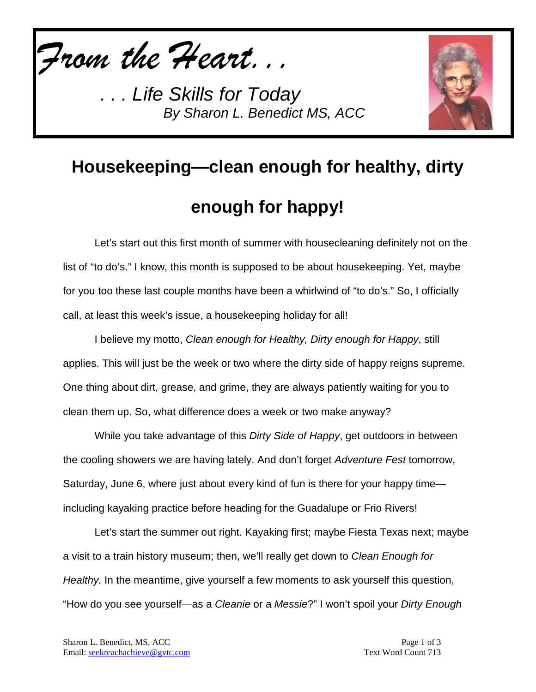*From the Heart...*



## **Housekeeping—clean enough for healthy, dirty enough for happy!**

Let's start out this first month of summer with housecleaning definitely not on the list of "to do's." I know, this month is supposed to be about housekeeping. Yet, maybe for you too these last couple months have been a whirlwind of "to do's." So, I officially call, at least this week's issue, a housekeeping holiday for all!

I believe my motto, *Clean enough for Healthy, Dirty enough for Happy*, still applies. This will just be the week or two where the dirty side of happy reigns supreme. One thing about dirt, grease, and grime, they are always patiently waiting for you to clean them up. So, what difference does a week or two make anyway?

While you take advantage of this *Dirty Side of Happy*, get outdoors in between the cooling showers we are having lately. And don't forget *Adventure Fest* tomorrow, Saturday, June 6, where just about every kind of fun is there for your happy time including kayaking practice before heading for the Guadalupe or Frio Rivers!

Let's start the summer out right. Kayaking first; maybe Fiesta Texas next; maybe a visit to a train history museum; then, we'll really get down to *Clean Enough for Healthy.* In the meantime, give yourself a few moments to ask yourself this question, "How do you see yourself—as a *Cleanie* or a *Messie*?" I won't spoil your *Dirty Enough*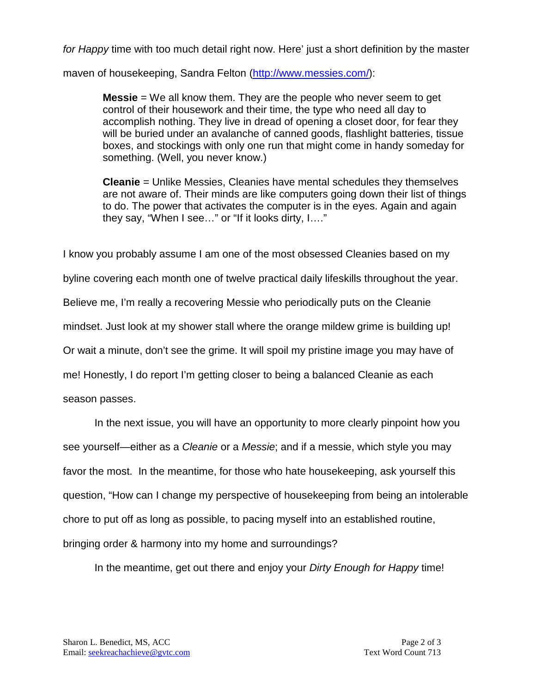*for Happy* time with too much detail right now. Here' just a short definition by the master

maven of housekeeping, Sandra Felton [\(http://www.messies.com/\)](http://www.messies.com/):

**Messie** = We all know them. They are the people who never seem to get control of their housework and their time, the type who need all day to accomplish nothing. They live in dread of opening a closet door, for fear they will be buried under an avalanche of canned goods, flashlight batteries, tissue boxes, and stockings with only one run that might come in handy someday for something. (Well, you never know.)

**Cleanie** = Unlike Messies, Cleanies have mental schedules they themselves are not aware of. Their minds are like computers going down their list of things to do. The power that activates the computer is in the eyes. Again and again they say, "When I see…" or "If it looks dirty, I…."

I know you probably assume I am one of the most obsessed Cleanies based on my byline covering each month one of twelve practical daily lifeskills throughout the year. Believe me, I'm really a recovering Messie who periodically puts on the Cleanie mindset. Just look at my shower stall where the orange mildew grime is building up! Or wait a minute, don't see the grime. It will spoil my pristine image you may have of me! Honestly, I do report I'm getting closer to being a balanced Cleanie as each season passes.

In the next issue, you will have an opportunity to more clearly pinpoint how you see yourself—either as a *Cleanie* or a *Messie*; and if a messie, which style you may favor the most. In the meantime, for those who hate housekeeping, ask yourself this question, "How can I change my perspective of housekeeping from being an intolerable chore to put off as long as possible, to pacing myself into an established routine, bringing order & harmony into my home and surroundings?

In the meantime, get out there and enjoy your *Dirty Enough for Happy* time!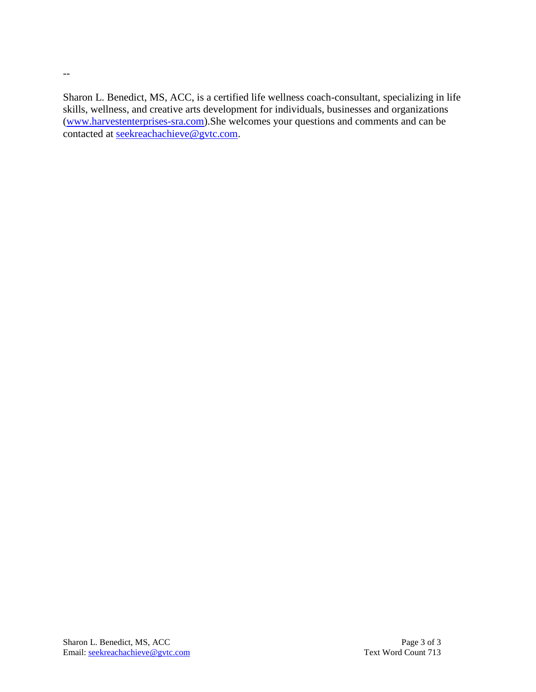Sharon L. Benedict, MS, ACC, is a certified life wellness coach-consultant, specializing in life skills, wellness, and creative arts development for individuals, businesses and organizations [\(www.harvestenterprises-sra.com\)](http://www.harvestenterprises-sra.com/).She welcomes your questions and comments and can be contacted at [seekreachachieve@gvtc.com.](mailto:seekreachachieve@gvtc.com)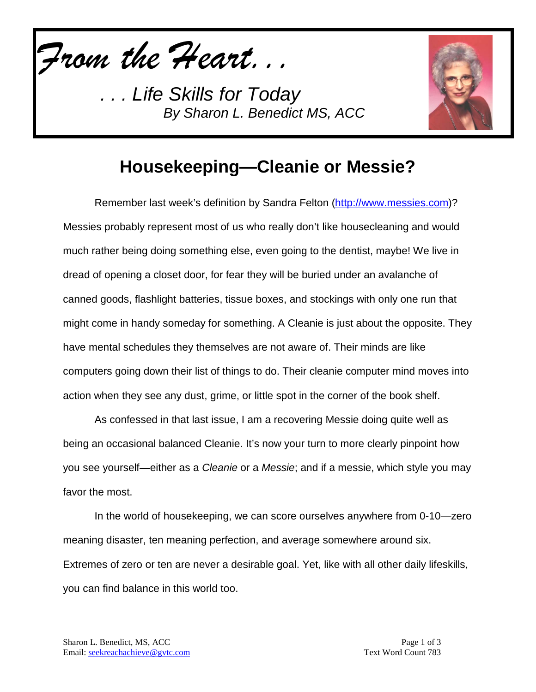*From the Heart...*



## **Housekeeping—Cleanie or Messie?**

Remember last week's definition by Sandra Felton [\(http://www.messies.com\)](http://www.messies.com/)? Messies probably represent most of us who really don't like housecleaning and would much rather being doing something else, even going to the dentist, maybe! We live in dread of opening a closet door, for fear they will be buried under an avalanche of canned goods, flashlight batteries, tissue boxes, and stockings with only one run that might come in handy someday for something. A Cleanie is just about the opposite. They have mental schedules they themselves are not aware of. Their minds are like computers going down their list of things to do. Their cleanie computer mind moves into action when they see any dust, grime, or little spot in the corner of the book shelf.

As confessed in that last issue, I am a recovering Messie doing quite well as being an occasional balanced Cleanie. It's now your turn to more clearly pinpoint how you see yourself—either as a *Cleanie* or a *Messie*; and if a messie, which style you may favor the most.

In the world of housekeeping, we can score ourselves anywhere from 0-10—zero meaning disaster, ten meaning perfection, and average somewhere around six. Extremes of zero or ten are never a desirable goal. Yet, like with all other daily lifeskills, you can find balance in this world too.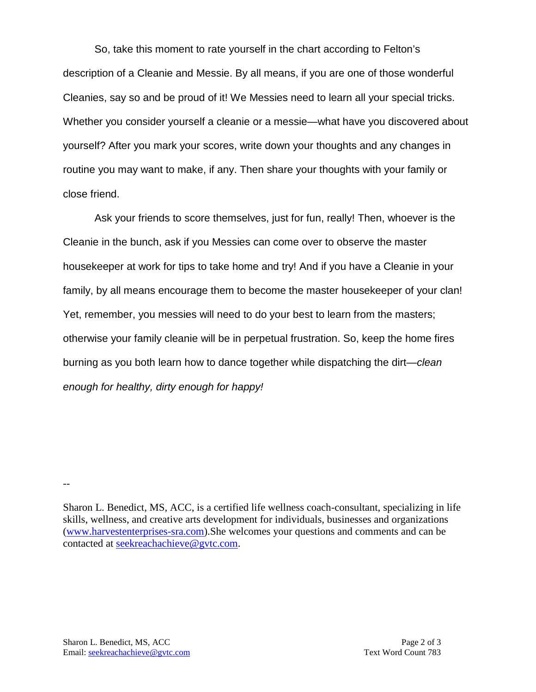So, take this moment to rate yourself in the chart according to Felton's description of a Cleanie and Messie. By all means, if you are one of those wonderful Cleanies, say so and be proud of it! We Messies need to learn all your special tricks. Whether you consider yourself a cleanie or a messie—what have you discovered about yourself? After you mark your scores, write down your thoughts and any changes in routine you may want to make, if any. Then share your thoughts with your family or close friend.

Ask your friends to score themselves, just for fun, really! Then, whoever is the Cleanie in the bunch, ask if you Messies can come over to observe the master housekeeper at work for tips to take home and try! And if you have a Cleanie in your family, by all means encourage them to become the master housekeeper of your clan! Yet, remember, you messies will need to do your best to learn from the masters; otherwise your family cleanie will be in perpetual frustration. So, keep the home fires burning as you both learn how to dance together while dispatching the dirt—*clean enough for healthy, dirty enough for happy!*

Sharon L. Benedict, MS, ACC, is a certified life wellness coach-consultant, specializing in life skills, wellness, and creative arts development for individuals, businesses and organizations [\(www.harvestenterprises-sra.com\)](http://www.harvestenterprises-sra.com/).She welcomes your questions and comments and can be contacted at [seekreachachieve@gvtc.com.](mailto:seekreachachieve@gvtc.com)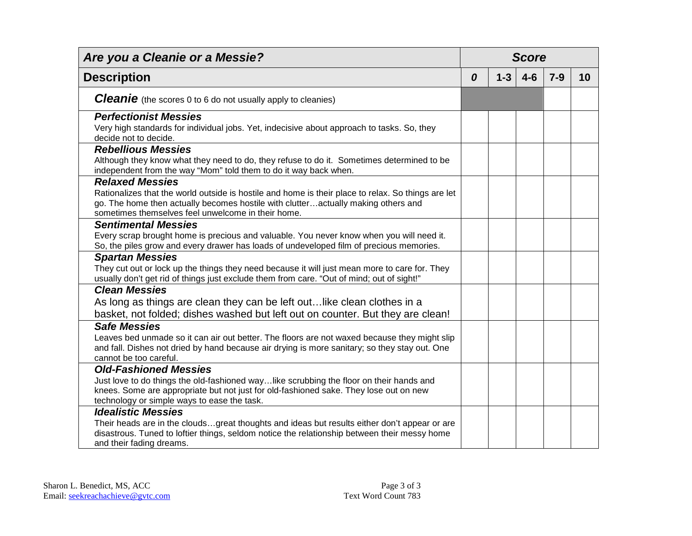| Are you a Cleanie or a Messie?                                                                                                                                                                                                                                          | <b>Score</b> |         |         |       |    |
|-------------------------------------------------------------------------------------------------------------------------------------------------------------------------------------------------------------------------------------------------------------------------|--------------|---------|---------|-------|----|
| <b>Description</b>                                                                                                                                                                                                                                                      | 0            | $1 - 3$ | $4 - 6$ | $7-9$ | 10 |
| <b>Cleanie</b> (the scores 0 to 6 do not usually apply to cleanies)                                                                                                                                                                                                     |              |         |         |       |    |
| <b>Perfectionist Messies</b><br>Very high standards for individual jobs. Yet, indecisive about approach to tasks. So, they<br>decide not to decide.                                                                                                                     |              |         |         |       |    |
| <b>Rebellious Messies</b><br>Although they know what they need to do, they refuse to do it. Sometimes determined to be<br>independent from the way "Mom" told them to do it way back when.                                                                              |              |         |         |       |    |
| <b>Relaxed Messies</b><br>Rationalizes that the world outside is hostile and home is their place to relax. So things are let<br>go. The home then actually becomes hostile with clutteractually making others and<br>sometimes themselves feel unwelcome in their home. |              |         |         |       |    |
| <b>Sentimental Messies</b><br>Every scrap brought home is precious and valuable. You never know when you will need it.<br>So, the piles grow and every drawer has loads of undeveloped film of precious memories.                                                       |              |         |         |       |    |
| <b>Spartan Messies</b><br>They cut out or lock up the things they need because it will just mean more to care for. They<br>usually don't get rid of things just exclude them from care. "Out of mind; out of sight!"                                                    |              |         |         |       |    |
| <b>Clean Messies</b><br>As long as things are clean they can be left out like clean clothes in a<br>basket, not folded; dishes washed but left out on counter. But they are clean!                                                                                      |              |         |         |       |    |
| <b>Safe Messies</b><br>Leaves bed unmade so it can air out better. The floors are not waxed because they might slip<br>and fall. Dishes not dried by hand because air drying is more sanitary; so they stay out. One<br>cannot be too careful.                          |              |         |         |       |    |
| <b>Old-Fashioned Messies</b><br>Just love to do things the old-fashioned waylike scrubbing the floor on their hands and<br>knees. Some are appropriate but not just for old-fashioned sake. They lose out on new<br>technology or simple ways to ease the task.         |              |         |         |       |    |
| <b>Idealistic Messies</b><br>Their heads are in the cloudsgreat thoughts and ideas but results either don't appear or are<br>disastrous. Tuned to loftier things, seldom notice the relationship between their messy home<br>and their fading dreams.                   |              |         |         |       |    |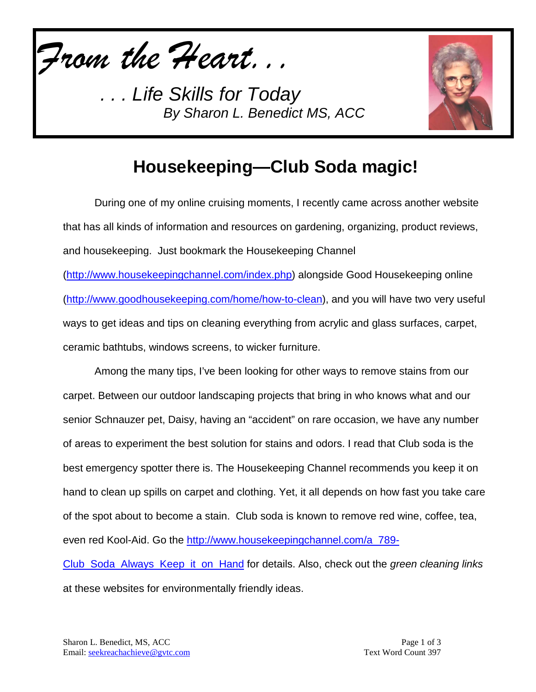*From the Heart...*



## **Housekeeping—Club Soda magic!**

During one of my online cruising moments, I recently came across another website that has all kinds of information and resources on gardening, organizing, product reviews, and housekeeping. Just bookmark the Housekeeping Channel

[\(http://www.housekeepingchannel.com/index.php\)](http://www.housekeepingchannel.com/index.php) alongside Good Housekeeping online [\(http://www.goodhousekeeping.com/home/how-to-clean\)](http://www.goodhousekeeping.com/home/how-to-clean), and you will have two very useful ways to get ideas and tips on cleaning everything from acrylic and glass surfaces, carpet, ceramic bathtubs, windows screens, to wicker furniture.

Among the many tips, I've been looking for other ways to remove stains from our carpet. Between our outdoor landscaping projects that bring in who knows what and our senior Schnauzer pet, Daisy, having an "accident" on rare occasion, we have any number of areas to experiment the best solution for stains and odors. I read that Club soda is the best emergency spotter there is. The Housekeeping Channel recommends you keep it on hand to clean up spills on carpet and clothing. Yet, it all depends on how fast you take care of the spot about to become a stain. Club soda is known to remove red wine, coffee, tea, even red Kool-Aid. Go the [http://www.housekeepingchannel.com/a\\_789-](http://www.housekeepingchannel.com/a_789-Club_Soda_Always_Keep_it_on_Hand) [Club\\_Soda\\_Always\\_Keep\\_it\\_on\\_Hand](http://www.housekeepingchannel.com/a_789-Club_Soda_Always_Keep_it_on_Hand) for details. Also, check out the *green cleaning links* 

at these websites for environmentally friendly ideas.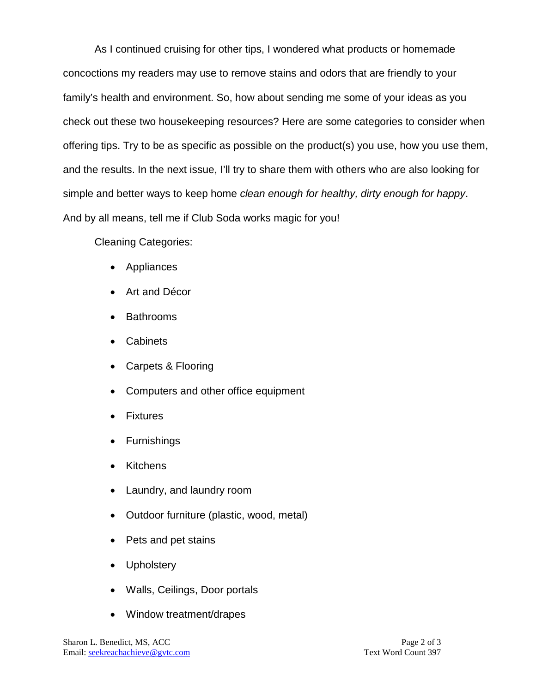As I continued cruising for other tips, I wondered what products or homemade concoctions my readers may use to remove stains and odors that are friendly to your family's health and environment. So, how about sending me some of your ideas as you check out these two housekeeping resources? Here are some categories to consider when offering tips. Try to be as specific as possible on the product(s) you use, how you use them, and the results. In the next issue, I'll try to share them with others who are also looking for simple and better ways to keep home *clean enough for healthy, dirty enough for happy*. And by all means, tell me if Club Soda works magic for you!

Cleaning Categories:

- Appliances
- Art and Décor
- Bathrooms
- Cabinets
- Carpets & Flooring
- Computers and other office equipment
- **Fixtures**
- Furnishings
- Kitchens
- Laundry, and laundry room
- Outdoor furniture (plastic, wood, metal)
- Pets and pet stains
- Upholstery
- Walls, Ceilings, Door portals
- Window treatment/drapes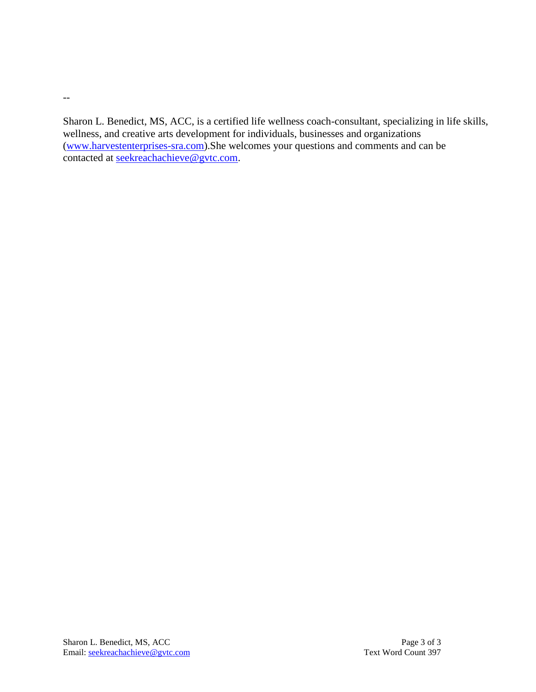Sharon L. Benedict, MS, ACC, is a certified life wellness coach-consultant, specializing in life skills, wellness, and creative arts development for individuals, businesses and organizations [\(www.harvestenterprises-sra.com\)](http://www.harvestenterprises-sra.com/).She welcomes your questions and comments and can be contacted at [seekreachachieve@gvtc.com.](mailto:seekreachachieve@gvtc.com)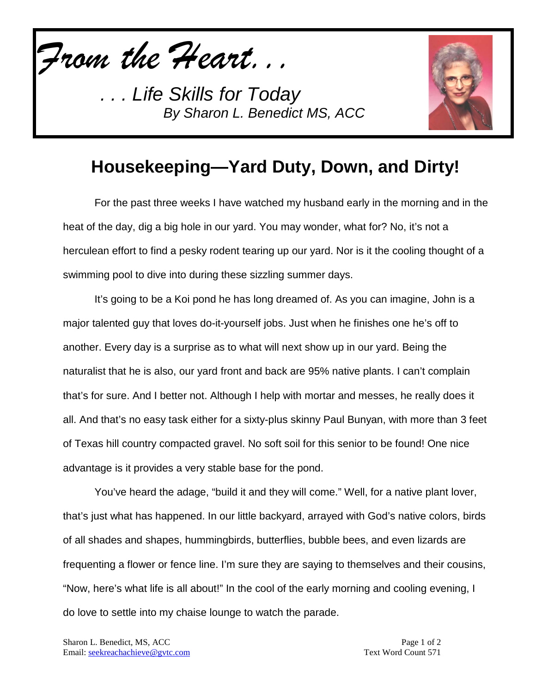*From the Heart...*



## **Housekeeping—Yard Duty, Down, and Dirty!**

For the past three weeks I have watched my husband early in the morning and in the heat of the day, dig a big hole in our yard. You may wonder, what for? No, it's not a herculean effort to find a pesky rodent tearing up our yard. Nor is it the cooling thought of a swimming pool to dive into during these sizzling summer days.

It's going to be a Koi pond he has long dreamed of. As you can imagine, John is a major talented guy that loves do-it-yourself jobs. Just when he finishes one he's off to another. Every day is a surprise as to what will next show up in our yard. Being the naturalist that he is also, our yard front and back are 95% native plants. I can't complain that's for sure. And I better not. Although I help with mortar and messes, he really does it all. And that's no easy task either for a sixty-plus skinny Paul Bunyan, with more than 3 feet of Texas hill country compacted gravel. No soft soil for this senior to be found! One nice advantage is it provides a very stable base for the pond.

You've heard the adage, "build it and they will come." Well, for a native plant lover, that's just what has happened. In our little backyard, arrayed with God's native colors, birds of all shades and shapes, hummingbirds, butterflies, bubble bees, and even lizards are frequenting a flower or fence line. I'm sure they are saying to themselves and their cousins, "Now, here's what life is all about!" In the cool of the early morning and cooling evening, I do love to settle into my chaise lounge to watch the parade.